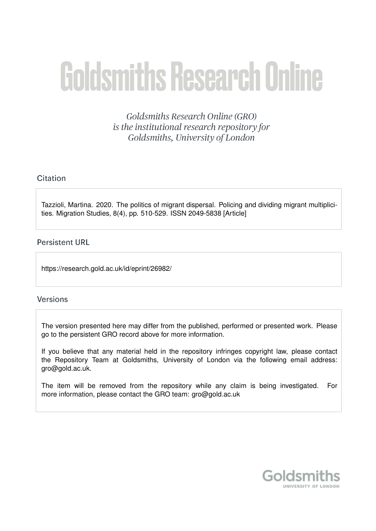# **Goldsmiths Research Online**

Goldsmiths Research Online (GRO) is the institutional research repository for Goldsmiths, University of London

# Citation

Tazzioli, Martina. 2020. The politics of migrant dispersal. Policing and dividing migrant multiplicities. Migration Studies, 8(4), pp. 510-529. ISSN 2049-5838 [Article]

# **Persistent URL**

https://research.gold.ac.uk/id/eprint/26982/

#### **Versions**

The version presented here may differ from the published, performed or presented work. Please go to the persistent GRO record above for more information.

If you believe that any material held in the repository infringes copyright law, please contact the Repository Team at Goldsmiths, University of London via the following email address: gro@gold.ac.uk.

The item will be removed from the repository while any claim is being investigated. For more information, please contact the GRO team: gro@gold.ac.uk

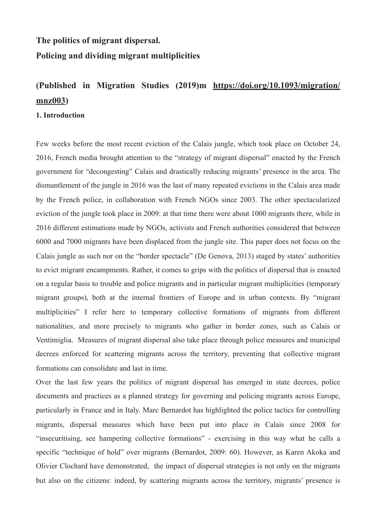# **The politics of migrant dispersal. Policing and dividing migrant multiplicities**

# **(Published in Migration Studies (2019)m [https://doi.org/10.1093/migration/](https://doi.org/10.1093/migration/mnz003) [mnz003](https://doi.org/10.1093/migration/mnz003))**

## **1. Introduction**

Few weeks before the most recent eviction of the Calais jungle, which took place on October 24, 2016, French media brought attention to the "strategy of migrant dispersal" enacted by the French government for "decongesting" Calais and drastically reducing migrants' presence in the area. The dismantlement of the jungle in 2016 was the last of many repeated evictions in the Calais area made by the French police, in collaboration with French NGOs since 2003. The other spectacularized eviction of the jungle took place in 2009: at that time there were about 1000 migrants there, while in 2016 different estimations made by NGOs, activists and French authorities considered that between 6000 and 7000 migrants have been displaced from the jungle site. This paper does not focus on the Calais jungle as such nor on the "border spectacle" (De Genova, 2013) staged by states' authorities to evict migrant encampments. Rather, it comes to grips with the politics of dispersal that is enacted on a regular basis to trouble and police migrants and in particular migrant multiplicities (temporary migrant groups), both at the internal frontiers of Europe and in urban contexts. By "migrant multiplicities" I refer here to temporary collective formations of migrants from different nationalities, and more precisely to migrants who gather in border zones, such as Calais or Ventimiglia. Measures of migrant dispersal also take place through police measures and municipal decrees enforced for scattering migrants across the territory, preventing that collective migrant formations can consolidate and last in time.

Over the last few years the politics of migrant dispersal has emerged in state decrees, police documents and practices as a planned strategy for governing and policing migrants across Europe, particularly in France and in Italy. Marc Bernardot has highlighted the police tactics for controlling migrants, dispersal measures which have been put into place in Calais since 2008 for "insecuritising, see hampering collective formations" - exercising in this way what he calls a specific "technique of hold" over migrants (Bernardot, 2009: 60). However, as Karen Akoka and Olivier Clochard have demonstrated, the impact of dispersal strategies is not only on the migrants but also on the citizens: indeed, by scattering migrants across the territory, migrants' presence is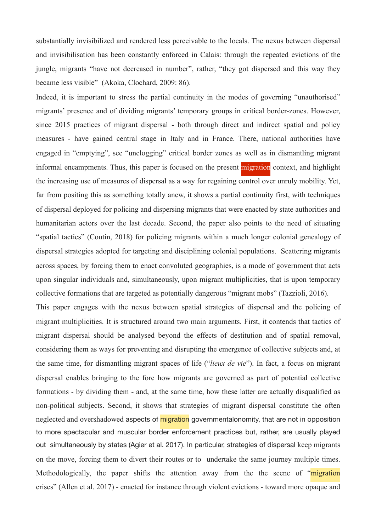substantially invisibilized and rendered less perceivable to the locals. The nexus between dispersal and invisibilisation has been constantly enforced in Calais: through the repeated evictions of the jungle, migrants "have not decreased in number", rather, "they got dispersed and this way they became less visible" (Akoka, Clochard, 2009: 86).

Indeed, it is important to stress the partial continuity in the modes of governing "unauthorised" migrants' presence and of dividing migrants' temporary groups in critical border-zones. However, since 2015 practices of migrant dispersal - both through direct and indirect spatial and policy measures - have gained central stage in Italy and in France. There, national authorities have engaged in "emptying", see "unclogging" critical border zones as well as in dismantling migrant informal encampments. Thus, this paper is focused on the present migration context, and highlight the increasing use of measures of dispersal as a way for regaining control over unruly mobility. Yet, far from positing this as something totally anew, it shows a partial continuity first, with techniques of dispersal deployed for policing and dispersing migrants that were enacted by state authorities and humanitarian actors over the last decade. Second, the paper also points to the need of situating "spatial tactics" (Coutin, 2018) for policing migrants within a much longer colonial genealogy of dispersal strategies adopted for targeting and disciplining colonial populations. Scattering migrants across spaces, by forcing them to enact convoluted geographies, is a mode of government that acts upon singular individuals and, simultaneously, upon migrant multiplicities, that is upon temporary collective formations that are targeted as potentially dangerous "migrant mobs" (Tazzioli, 2016).

This paper engages with the nexus between spatial strategies of dispersal and the policing of migrant multiplicities. It is structured around two main arguments. First, it contends that tactics of migrant dispersal should be analysed beyond the effects of destitution and of spatial removal, considering them as ways for preventing and disrupting the emergence of collective subjects and, at the same time, for dismantling migrant spaces of life ("*lieux de vie*"). In fact, a focus on migrant dispersal enables bringing to the fore how migrants are governed as part of potential collective formations - by dividing them - and, at the same time, how these latter are actually disqualified as non-political subjects. Second, it shows that strategies of migrant dispersal constitute the often neglected and overshadowed aspects of migration governmentalonomity, that are not in opposition to more spectacular and muscular border enforcement practices but, rather, are usually played out simultaneously by states (Agier et al. 2017). In particular, strategies of dispersal keep migrants on the move, forcing them to divert their routes or to undertake the same journey multiple times. Methodologically, the paper shifts the attention away from the the scene of "migration" crises" (Allen et al. 2017) - enacted for instance through violent evictions - toward more opaque and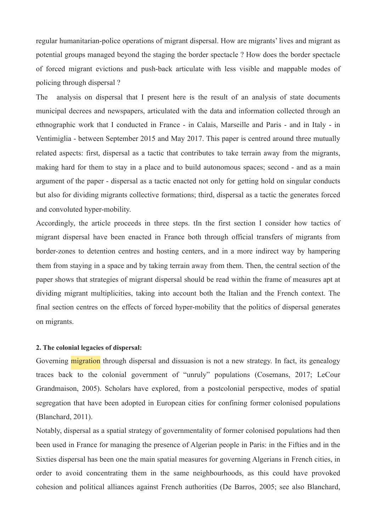regular humanitarian-police operations of migrant dispersal. How are migrants' lives and migrant as potential groups managed beyond the staging the border spectacle ? How does the border spectacle of forced migrant evictions and push-back articulate with less visible and mappable modes of policing through dispersal ?

The analysis on dispersal that I present here is the result of an analysis of state documents municipal decrees and newspapers, articulated with the data and information collected through an ethnographic work that I conducted in France - in Calais, Marseille and Paris - and in Italy - in Ventimiglia - between September 2015 and May 2017. This paper is centred around three mutually related aspects: first, dispersal as a tactic that contributes to take terrain away from the migrants, making hard for them to stay in a place and to build autonomous spaces; second - and as a main argument of the paper - dispersal as a tactic enacted not only for getting hold on singular conducts but also for dividing migrants collective formations; third, dispersal as a tactic the generates forced and convoluted hyper-mobility.

Accordingly, the article proceeds in three steps. tIn the first section I consider how tactics of migrant dispersal have been enacted in France both through official transfers of migrants from border-zones to detention centres and hosting centers, and in a more indirect way by hampering them from staying in a space and by taking terrain away from them. Then, the central section of the paper shows that strategies of migrant dispersal should be read within the frame of measures apt at dividing migrant multiplicities, taking into account both the Italian and the French context. The final section centres on the effects of forced hyper-mobility that the politics of dispersal generates on migrants.

#### **2. The colonial legacies of dispersal:**

Governing **migration** through dispersal and dissuasion is not a new strategy. In fact, its genealogy traces back to the colonial government of "unruly" populations (Cosemans, 2017; LeCour Grandmaison, 2005). Scholars have explored, from a postcolonial perspective, modes of spatial segregation that have been adopted in European cities for confining former colonised populations (Blanchard, 2011).

Notably, dispersal as a spatial strategy of governmentality of former colonised populations had then been used in France for managing the presence of Algerian people in Paris: in the Fifties and in the Sixties dispersal has been one the main spatial measures for governing Algerians in French cities, in order to avoid concentrating them in the same neighbourhoods, as this could have provoked cohesion and political alliances against French authorities (De Barros, 2005; see also Blanchard,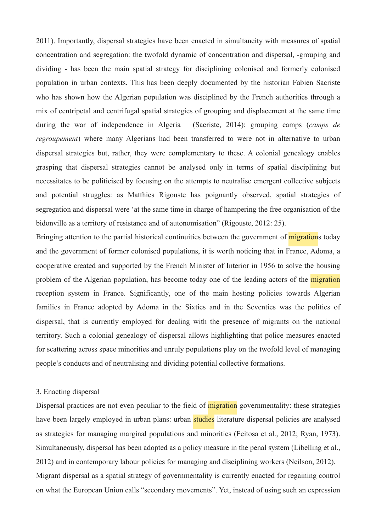2011). Importantly, dispersal strategies have been enacted in simultaneity with measures of spatial concentration and segregation: the twofold dynamic of concentration and dispersal, -grouping and dividing - has been the main spatial strategy for disciplining colonised and formerly colonised population in urban contexts. This has been deeply documented by the historian Fabien Sacriste who has shown how the Algerian population was disciplined by the French authorities through a mix of centripetal and centrifugal spatial strategies of grouping and displacement at the same time during the war of independence in Algeria (Sacriste, 2014): grouping camps (*camps de regroupement*) where many Algerians had been transferred to were not in alternative to urban dispersal strategies but, rather, they were complementary to these. A colonial genealogy enables grasping that dispersal strategies cannot be analysed only in terms of spatial disciplining but necessitates to be politicised by focusing on the attempts to neutralise emergent collective subjects and potential struggles: as Matthies Rigouste has poignantly observed, spatial strategies of segregation and dispersal were 'at the same time in charge of hampering the free organisation of the bidonville as a territory of resistance and of autonomisation" (Rigouste, 2012: 25).

Bringing attention to the partial historical continuities between the government of migrations today and the government of former colonised populations, it is worth noticing that in France, Adoma, a cooperative created and supported by the French Minister of Interior in 1956 to solve the housing problem of the Algerian population, has become today one of the leading actors of the *migration* reception system in France. Significantly, one of the main hosting policies towards Algerian families in France adopted by Adoma in the Sixties and in the Seventies was the politics of dispersal, that is currently employed for dealing with the presence of migrants on the national territory. Such a colonial genealogy of dispersal allows highlighting that police measures enacted for scattering across space minorities and unruly populations play on the twofold level of managing people's conducts and of neutralising and dividing potential collective formations.

#### 3. Enacting dispersal

Dispersal practices are not even peculiar to the field of **migration** governmentality: these strategies have been largely employed in urban plans: urban studies literature dispersal policies are analysed as strategies for managing marginal populations and minorities (Feitosa et al., 2012; Ryan, 1973). Simultaneously, dispersal has been adopted as a policy measure in the penal system (Libelling et al., 2012) and in contemporary labour policies for managing and disciplining workers (Neilson, 2012). Migrant dispersal as a spatial strategy of governmentality is currently enacted for regaining control on what the European Union calls "secondary movements". Yet, instead of using such an expression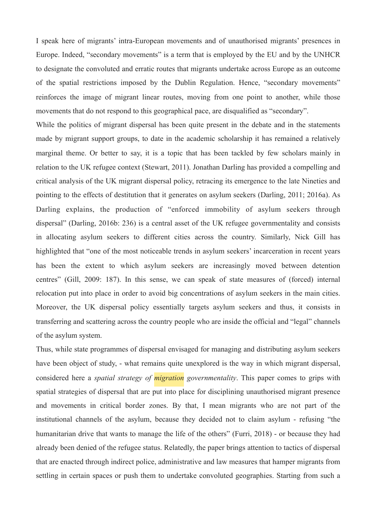I speak here of migrants' intra-European movements and of unauthorised migrants' presences in Europe. Indeed, "secondary movements" is a term that is employed by the EU and by the UNHCR to designate the convoluted and erratic routes that migrants undertake across Europe as an outcome of the spatial restrictions imposed by the Dublin Regulation. Hence, "secondary movements" reinforces the image of migrant linear routes, moving from one point to another, while those movements that do not respond to this geographical pace, are disqualified as "secondary".

While the politics of migrant dispersal has been quite present in the debate and in the statements made by migrant support groups, to date in the academic scholarship it has remained a relatively marginal theme. Or better to say, it is a topic that has been tackled by few scholars mainly in relation to the UK refugee context (Stewart, 2011). Jonathan Darling has provided a compelling and critical analysis of the UK migrant dispersal policy, retracing its emergence to the late Nineties and pointing to the effects of destitution that it generates on asylum seekers (Darling, 2011; 2016a). As Darling explains, the production of "enforced immobility of asylum seekers through dispersal" (Darling, 2016b: 236) is a central asset of the UK refugee governmentality and consists in allocating asylum seekers to different cities across the country. Similarly, Nick Gill has highlighted that "one of the most noticeable trends in asylum seekers' incarceration in recent years has been the extent to which asylum seekers are increasingly moved between detention centres" (Gill, 2009: 187). In this sense, we can speak of state measures of (forced) internal relocation put into place in order to avoid big concentrations of asylum seekers in the main cities. Moreover, the UK dispersal policy essentially targets asylum seekers and thus, it consists in transferring and scattering across the country people who are inside the official and "legal" channels of the asylum system.

Thus, while state programmes of dispersal envisaged for managing and distributing asylum seekers have been object of study, - what remains quite unexplored is the way in which migrant dispersal, considered here a *spatial strategy of migration governmentality*. This paper comes to grips with spatial strategies of dispersal that are put into place for disciplining unauthorised migrant presence and movements in critical border zones. By that, I mean migrants who are not part of the institutional channels of the asylum, because they decided not to claim asylum - refusing "the humanitarian drive that wants to manage the life of the others" (Furri, 2018) - or because they had already been denied of the refugee status. Relatedly, the paper brings attention to tactics of dispersal that are enacted through indirect police, administrative and law measures that hamper migrants from settling in certain spaces or push them to undertake convoluted geographies. Starting from such a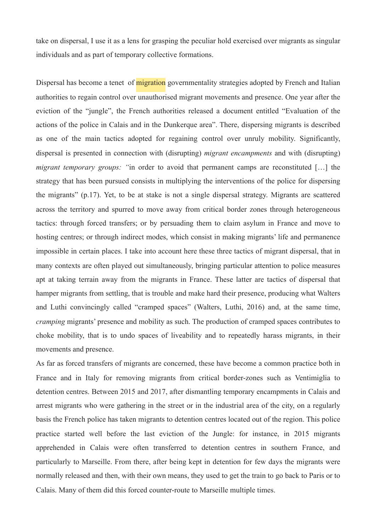take on dispersal, I use it as a lens for grasping the peculiar hold exercised over migrants as singular individuals and as part of temporary collective formations.

Dispersal has become a tenet of **migration** governmentality strategies adopted by French and Italian authorities to regain control over unauthorised migrant movements and presence. One year after the eviction of the "jungle", the French authorities released a document entitled "Evaluation of the actions of the police in Calais and in the Dunkerque area". There, dispersing migrants is described as one of the main tactics adopted for regaining control over unruly mobility. Significantly, dispersal is presented in connection with (disrupting) *migrant encampments* and with (disrupting) *migrant temporary groups:* "in order to avoid that permanent camps are reconstituted [...] the strategy that has been pursued consists in multiplying the interventions of the police for dispersing the migrants" (p.17). Yet, to be at stake is not a single dispersal strategy. Migrants are scattered across the territory and spurred to move away from critical border zones through heterogeneous tactics: through forced transfers; or by persuading them to claim asylum in France and move to hosting centres; or through indirect modes, which consist in making migrants' life and permanence impossible in certain places. I take into account here these three tactics of migrant dispersal, that in many contexts are often played out simultaneously, bringing particular attention to police measures apt at taking terrain away from the migrants in France. These latter are tactics of dispersal that hamper migrants from settling, that is trouble and make hard their presence, producing what Walters and Luthi convincingly called "cramped spaces" (Walters, Luthi, 2016) and, at the same time, *cramping* migrants' presence and mobility as such. The production of cramped spaces contributes to choke mobility, that is to undo spaces of liveability and to repeatedly harass migrants, in their movements and presence.

As far as forced transfers of migrants are concerned, these have become a common practice both in France and in Italy for removing migrants from critical border-zones such as Ventimiglia to detention centres. Between 2015 and 2017, after dismantling temporary encampments in Calais and arrest migrants who were gathering in the street or in the industrial area of the city, on a regularly basis the French police has taken migrants to detention centres located out of the region. This police practice started well before the last eviction of the Jungle: for instance, in 2015 migrants apprehended in Calais were often transferred to detention centres in southern France, and particularly to Marseille. From there, after being kept in detention for few days the migrants were normally released and then, with their own means, they used to get the train to go back to Paris or to Calais. Many of them did this forced counter-route to Marseille multiple times.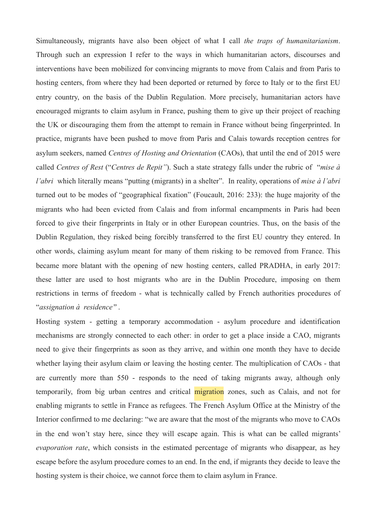Simultaneously, migrants have also been object of what I call *the traps of humanitarianism*. Through such an expression I refer to the ways in which humanitarian actors, discourses and interventions have been mobilized for convincing migrants to move from Calais and from Paris to hosting centers, from where they had been deported or returned by force to Italy or to the first EU entry country, on the basis of the Dublin Regulation. More precisely, humanitarian actors have encouraged migrants to claim asylum in France, pushing them to give up their project of reaching the UK or discouraging them from the attempt to remain in France without being fingerprinted. In practice, migrants have been pushed to move from Paris and Calais towards reception centres for asylum seekers, named *Centres of Hosting and Orientation* (CAOs), that until the end of 2015 were called *Centres of Rest* ("*Centres de Repit"*). Such a state strategy falls under the rubric of "*mise à l'abri* which literally means "putting (migrants) in a shelter". In reality, operations of *mise à l'abri*  turned out to be modes of "geographical fixation" (Foucault, 2016: 233): the huge majority of the migrants who had been evicted from Calais and from informal encampments in Paris had been forced to give their fingerprints in Italy or in other European countries. Thus, on the basis of the Dublin Regulation, they risked being forcibly transferred to the first EU country they entered. In other words, claiming asylum meant for many of them risking to be removed from France. This became more blatant with the opening of new hosting centers, called PRADHA, in early 2017: these latter are used to host migrants who are in the Dublin Procedure, imposing on them restrictions in terms of freedom - what is technically called by French authorities procedures of "*assignation à residence"* .

Hosting system - getting a temporary accommodation - asylum procedure and identification mechanisms are strongly connected to each other: in order to get a place inside a CAO, migrants need to give their fingerprints as soon as they arrive, and within one month they have to decide whether laying their asylum claim or leaving the hosting center. The multiplication of CAOs - that are currently more than 550 - responds to the need of taking migrants away, although only temporarily, from big urban centres and critical migration zones, such as Calais, and not for enabling migrants to settle in France as refugees. The French Asylum Office at the Ministry of the Interior confirmed to me declaring: "we are aware that the most of the migrants who move to CAOs in the end won't stay here, since they will escape again. This is what can be called migrants' *evaporation rate*, which consists in the estimated percentage of migrants who disappear, as hey escape before the asylum procedure comes to an end. In the end, if migrants they decide to leave the hosting system is their choice, we cannot force them to claim asylum in France.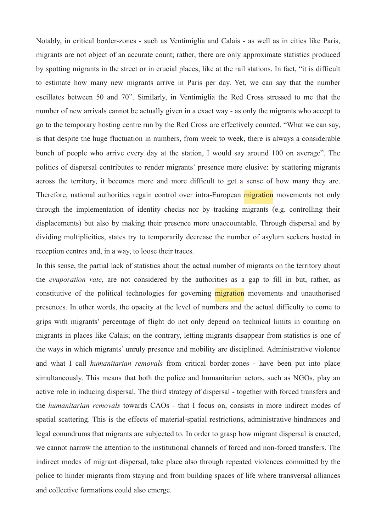Notably, in critical border-zones - such as Ventimiglia and Calais - as well as in cities like Paris, migrants are not object of an accurate count; rather, there are only approximate statistics produced by spotting migrants in the street or in crucial places, like at the rail stations. In fact, "it is difficult to estimate how many new migrants arrive in Paris per day. Yet, we can say that the number oscillates between 50 and 70". Similarly, in Ventimiglia the Red Cross stressed to me that the number of new arrivals cannot be actually given in a exact way - as only the migrants who accept to go to the temporary hosting centre run by the Red Cross are effectively counted. "What we can say, is that despite the huge fluctuation in numbers, from week to week, there is always a considerable bunch of people who arrive every day at the station, I would say around 100 on average". The politics of dispersal contributes to render migrants' presence more elusive: by scattering migrants across the territory, it becomes more and more difficult to get a sense of how many they are. Therefore, national authorities regain control over intra-European migration movements not only through the implementation of identity checks nor by tracking migrants (e.g. controlling their displacements) but also by making their presence more unaccountable. Through dispersal and by dividing multiplicities, states try to temporarily decrease the number of asylum seekers hosted in reception centres and, in a way, to loose their traces.

In this sense, the partial lack of statistics about the actual number of migrants on the territory about the *evaporation rate*, are not considered by the authorities as a gap to fill in but, rather, as constitutive of the political technologies for governing migration movements and unauthorised presences. In other words, the opacity at the level of numbers and the actual difficulty to come to grips with migrants' percentage of flight do not only depend on technical limits in counting on migrants in places like Calais; on the contrary, letting migrants disappear from statistics is one of the ways in which migrants' unruly presence and mobility are disciplined. Administrative violence and what I call *humanitarian removals* from critical border-zones - have been put into place simultaneously. This means that both the police and humanitarian actors, such as NGOs, play an active role in inducing dispersal. The third strategy of dispersal - together with forced transfers and the *humanitarian removals* towards CAOs - that I focus on, consists in more indirect modes of spatial scattering. This is the effects of material-spatial restrictions, administrative hindrances and legal conundrums that migrants are subjected to. In order to grasp how migrant dispersal is enacted, we cannot narrow the attention to the institutional channels of forced and non-forced transfers. The indirect modes of migrant dispersal, take place also through repeated violences committed by the police to hinder migrants from staying and from building spaces of life where transversal alliances and collective formations could also emerge.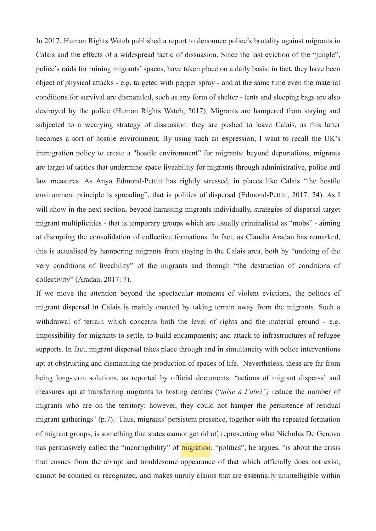In 2017, Human Rights Watch published a report to denounce police's brutality against migrants in Calais and the effects of a widespread tactic of dissuasion. Since the last eviction of the "jungle", police's raids for ruining migrants' spaces, have taken place on a daily basis: in fact, they have been object of physical attacks - e.g. targeted with pepper spray - and at the same time even the material conditions for survival are dismantled, such as any form of shelter - tents and sleeping bags are also destroyed by the police (Human Rights Watch, 2017). Migrants are hampered from staying and subjected to a wearying strategy of dissuasion: they are pushed to leave Calais, as this latter becomes a sort of hostile environment. By using such an expression, I want to recall the UK's immigration policy to create a "hostile environment" for migrants: beyond deportations, migrants are target of tactics that undermine space liveability for migrants through administrative, police and law measures. As Anya Edmond-Pettitt has rightly stressed, in places like Calais "the hostile environment principle is spreading", that is politics of dispersal (Edmond-Pettitt, 2017: 24). As I will show in the next section, beyond harassing migrants individually, strategies of dispersal target migrant multiplicities - that is temporary groups which are usually criminalised as "mobs" - aiming at disrupting the consolidation of collective formations. In fact, as Claudia Aradau has remarked, this is actualised by hampering migrants from staying in the Calais area, both by "undoing of the very conditions of liveability" of the migrants and through "the destruction of conditions of collectivity" (Aradau, 2017: 7).

If we move the attention beyond the spectacular moments of violent evictions, the politics of migrant dispersal in Calais is mainly enacted by taking terrain away from the migrants. Such a withdrawal of terrain which concerns both the level of rights and the material ground - e.g. impossibility for migrants to settle, to build encampments; and attack to infrastructures of refugee supports. In fact, migrant dispersal takes place through and in simultaneity with police interventions apt at obstructing and dismantling the production of spaces of life. Nevertheless, these are far from being long-term solutions, as reported by official documents: "actions of migrant dispersal and measures apt at transferring migrants to hosting centres ("*mise à l'abri")* reduce the number of migrants who are on the territory: however, they could not hamper the persistence of residual migrant gatherings" (p.7). Thus, migrants' persistent presence, together with the repeated formation of migrant groups, is something that states cannot get rid of, representing what Nicholas De Genova has persuasively called the "incorrigibility" of **migration**: "politics", he argues, "is about the crisis that ensues from the abrupt and troublesome appearance of that which officially does not exist, cannot be counted or recognized, and makes unruly claims that are essentially unintelligible within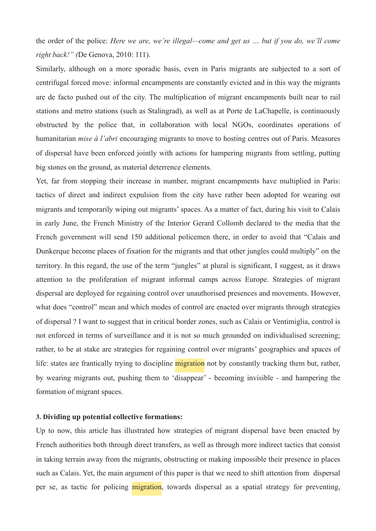the order of the police: *Here we are, we're illegal—come and get us … but if you do, we'll come right back!" (*De Genova, 2010: 111).

Similarly, although on a more sporadic basis, even in Paris migrants are subjected to a sort of centrifugal forced move: informal encampments are constantly evicted and in this way the migrants are de facto pushed out of the city. The multiplication of migrant encampments built near to rail stations and metro stations (such as Stalingrad), as well as at Porte de LaChapelle, is continuously obstructed by the police that, in collaboration with local NGOs, coordinates operations of humanitarian *mise à l'abri* encouraging migrants to move to hosting centres out of Paris. Measures of dispersal have been enforced jointly with actions for hampering migrants from settling, putting big stones on the ground, as material deterrence elements.

Yet, far from stopping their increase in number, migrant encampments have multiplied in Paris: tactics of direct and indirect expulsion from the city have rather been adopted for wearing out migrants and temporarily wiping out migrants' spaces. As a matter of fact, during his visit to Calais in early June, the French Ministry of the Interior Gerard Collomb declared to the media that the French government will send 150 additional policemen there, in order to avoid that "Calais and Dunkerque become places of fixation for the migrants and that other jungles could multiply" on the territory. In this regard, the use of the term "jungles" at plural is significant, I suggest, as it draws attention to the proliferation of migrant informal camps across Europe. Strategies of migrant dispersal are deployed for regaining control over unauthorised presences and movements. However, what does "control" mean and which modes of control are enacted over migrants through strategies of dispersal ? I want to suggest that in critical border zones, such as Calais or Ventimiglia, control is not enforced in terms of surveillance and it is not so much grounded on individualised screening; rather, to be at stake are strategies for regaining control over migrants' geographies and spaces of life: states are frantically trying to discipline **migration** not by constantly tracking them but, rather, by wearing migrants out, pushing them to 'disappear' - becoming invisible - and hampering the formation of migrant spaces.

#### **3. Dividing up potential collective formations:**

Up to now, this article has illustrated how strategies of migrant dispersal have been enacted by French authorities both through direct transfers, as well as through more indirect tactics that consist in taking terrain away from the migrants, obstructing or making impossible their presence in places such as Calais. Yet, the main argument of this paper is that we need to shift attention from dispersal per se, as tactic for policing migration, towards dispersal as a spatial strategy for preventing,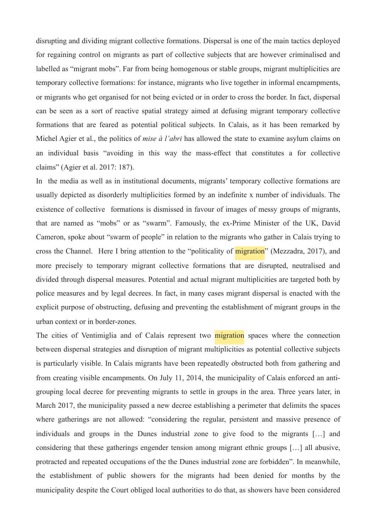disrupting and dividing migrant collective formations. Dispersal is one of the main tactics deployed for regaining control on migrants as part of collective subjects that are however criminalised and labelled as "migrant mobs". Far from being homogenous or stable groups, migrant multiplicities are temporary collective formations: for instance, migrants who live together in informal encampments, or migrants who get organised for not being evicted or in order to cross the border. In fact, dispersal can be seen as a sort of reactive spatial strategy aimed at defusing migrant temporary collective formations that are feared as potential political subjects. In Calais, as it has been remarked by Michel Agier et al., the politics of *mise à l'abri* has allowed the state to examine asylum claims on an individual basis "avoiding in this way the mass-effect that constitutes a for collective claims" (Agier et al. 2017: 187).

In the media as well as in institutional documents, migrants' temporary collective formations are usually depicted as disorderly multiplicities formed by an indefinite x number of individuals. The existence of collective formations is dismissed in favour of images of messy groups of migrants, that are named as "mobs" or as "swarm". Famously, the ex-Prime Minister of the UK, David Cameron, spoke about "swarm of people" in relation to the migrants who gather in Calais trying to cross the Channel. Here I bring attention to the "politicality of **migration**" (Mezzadra, 2017), and more precisely to temporary migrant collective formations that are disrupted, neutralised and divided through dispersal measures. Potential and actual migrant multiplicities are targeted both by police measures and by legal decrees. In fact, in many cases migrant dispersal is enacted with the explicit purpose of obstructing, defusing and preventing the establishment of migrant groups in the urban context or in border-zones.

The cities of Ventimiglia and of Calais represent two **migration** spaces where the connection between dispersal strategies and disruption of migrant multiplicities as potential collective subjects is particularly visible. In Calais migrants have been repeatedly obstructed both from gathering and from creating visible encampments. On July 11, 2014, the municipality of Calais enforced an antigrouping local decree for preventing migrants to settle in groups in the area. Three years later, in March 2017, the municipality passed a new decree establishing a perimeter that delimits the spaces where gatherings are not allowed: "considering the regular, persistent and massive presence of individuals and groups in the Dunes industrial zone to give food to the migrants […] and considering that these gatherings engender tension among migrant ethnic groups […] all abusive, protracted and repeated occupations of the the Dunes industrial zone are forbidden". In meanwhile, the establishment of public showers for the migrants had been denied for months by the municipality despite the Court obliged local authorities to do that, as showers have been considered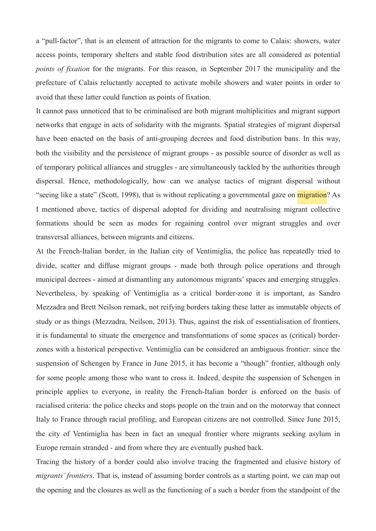a "pull-factor", that is an element of attraction for the migrants to come to Calais: showers, water access points, temporary shelters and stable food distribution sites are all considered as potential *points of fixation* for the migrants. For this reason, in September 2017 the municipality and the prefecture of Calais reluctantly accepted to activate mobile showers and water points in order to avoid that these latter could function as points of fixation.

It cannot pass unnoticed that to be criminalised are both migrant multiplicities and migrant support networks that engage in acts of solidarity with the migrants. Spatial strategies of migrant dispersal have been enacted on the basis of anti-grouping decrees and food distribution bans. In this way, both the visibility and the persistence of migrant groups - as possible source of disorder as well as of temporary political alliances and struggles - are simultaneously tackled by the authorities through dispersal. Hence, methodologically, how can we analyse tactics of migrant dispersal without "seeing like a state" (Scott, 1998), that is without replicating a governmental gaze on *migration*? As I mentioned above, tactics of dispersal adopted for dividing and neutralising migrant collective formations should be seen as modes for regaining control over migrant struggles and over transversal alliances, between migrants and citizens.

At the French-Italian border, in the Italian city of Ventimiglia, the police has repeatedly tried to divide, scatter and diffuse migrant groups - made both through police operations and through municipal decrees - aimed at dismantling any autonomous migrants' spaces and emerging struggles. Nevertheless, by speaking of Ventimiglia as a critical border-zone it is important, as Sandro Mezzadra and Brett Neilson remark, not reifying borders taking these latter as immutable objects of study or as things (Mezzadra, Neilson, 2013). Thus, against the risk of essentialisation of frontiers, it is fundamental to situate the emergence and transformations of some spaces as (critical) borderzones with a historical perspective. Ventimiglia can be considered an ambiguous frontier: since the suspension of Schengen by France in June 2015, it has become a "though" frontier, although only for some people among those who want to cross it. Indeed, despite the suspension of Schengen in principle applies to everyone, in reality the French-Italian border is enforced on the basis of racialised criteria: the police checks and stops people on the train and on the motorway that connect Italy to France through racial profiling, and European citizens are not controlled. Since June 2015, the city of Ventimiglia has been in fact an unequal frontier where migrants seeking asylum in Europe remain stranded - and from where they are eventually pushed back.

Tracing the history of a border could also involve tracing the fragmented and elusive history of *migrants' frontiers*. That is, instead of assuming border controls as a starting point, we can map out the opening and the closures as well as the functioning of a such a border from the standpoint of the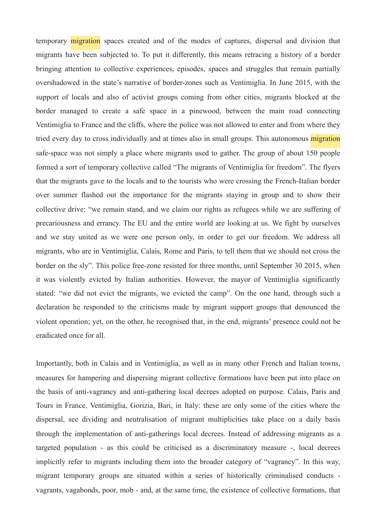temporary migration spaces created and of the modes of captures, dispersal and division that migrants have been subjected to. To put it differently, this means retracing a history of a border bringing attention to collective experiences, episodes, spaces and struggles that remain partially overshadowed in the state's narrative of border-zones such as Ventimiglia. In June 2015, with the support of locals and also of activist groups coming from other cities, migrants blocked at the border managed to create a safe space in a pinewood, between the main road connecting Ventimiglia to France and the cliffs, where the police was not allowed to enter and from where they tried every day to cross individually and at times also in small groups. This autonomous migration safe-space was not simply a place where migrants used to gather. The group of about 150 people formed a sort of temporary collective called "The migrants of Ventimiglia for freedom". The flyers that the migrants gave to the locals and to the tourists who were crossing the French-Italian border over summer flashed out the importance for the migrants staying in group and to show their collective drive: "we remain stand, and we claim our rights as refugees while we are suffering of precariousness and errancy. The EU and the entire world are looking at us. We fight by ourselves and we stay united as we were one person only, in order to get our freedom. We address all migrants, who are in Ventimiglia, Calais, Rome and Paris, to tell them that we should not cross the border on the sly". This police free-zone resisted for three months, until September 30 2015, when it was violently evicted by Italian authorities. However, the mayor of Ventimiglia significantly stated: "we did not evict the migrants, we evicted the camp". On the one hand, through such a declaration he responded to the criticisms made by migrant support groups that denounced the violent operation; yet, on the other, he recognised that, in the end, migrants' presence could not be eradicated once for all.

Importantly, both in Calais and in Ventimiglia, as well as in many other French and Italian towns, measures for hampering and dispersing migrant collective formations have been put into place on the basis of anti-vagrancy and anti-gathering local decrees adopted on purpose. Calais, Paris and Tours in France, Ventimiglia, Gorizia, Bari, in Italy: these are only some of the cities where the dispersal, see dividing and neutralisation of migrant multiplicities take place on a daily basis through the implementation of anti-gatherings local decrees. Instead of addressing migrants as a targeted population - as this could be criticised as a discriminatory measure -, local decrees implicitly refer to migrants including them into the broader category of "vagrancy". In this way, migrant temporary groups are situated within a series of historically criminalised conducts vagrants, vagabonds, poor, mob - and, at the same time, the existence of collective formations, that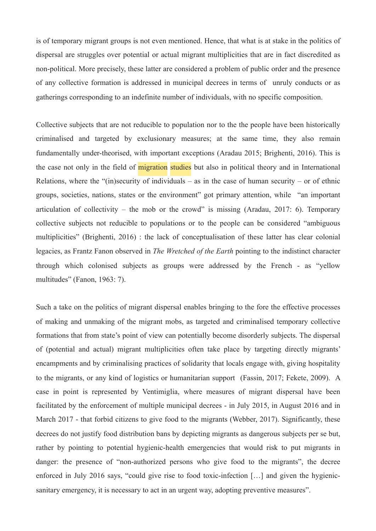is of temporary migrant groups is not even mentioned. Hence, that what is at stake in the politics of dispersal are struggles over potential or actual migrant multiplicities that are in fact discredited as non-political. More precisely, these latter are considered a problem of public order and the presence of any collective formation is addressed in municipal decrees in terms of unruly conducts or as gatherings corresponding to an indefinite number of individuals, with no specific composition.

Collective subjects that are not reducible to population nor to the the people have been historically criminalised and targeted by exclusionary measures; at the same time, they also remain fundamentally under-theorised, with important exceptions (Aradau 2015; Brighenti, 2016). This is the case not only in the field of migration studies but also in political theory and in International Relations, where the " $(in)$  security of individuals – as in the case of human security – or of ethnic groups, societies, nations, states or the environment" got primary attention, while "an important articulation of collectivity – the mob or the crowd" is missing (Aradau, 2017: 6). Temporary collective subjects not reducible to populations or to the people can be considered "ambiguous multiplicities" (Brighenti, 2016) : the lack of conceptualisation of these latter has clear colonial legacies, as Frantz Fanon observed in *The Wretched of the Earth* pointing to the indistinct character through which colonised subjects as groups were addressed by the French - as "yellow multitudes" (Fanon, 1963: 7).

Such a take on the politics of migrant dispersal enables bringing to the fore the effective processes of making and unmaking of the migrant mobs, as targeted and criminalised temporary collective formations that from state's point of view can potentially become disorderly subjects. The dispersal of (potential and actual) migrant multiplicities often take place by targeting directly migrants' encampments and by criminalising practices of solidarity that locals engage with, giving hospitality to the migrants, or any kind of logistics or humanitarian support (Fassin, 2017; Fekete, 2009). A case in point is represented by Ventimiglia, where measures of migrant dispersal have been facilitated by the enforcement of multiple municipal decrees - in July 2015, in August 2016 and in March 2017 - that forbid citizens to give food to the migrants (Webber, 2017). Significantly, these decrees do not justify food distribution bans by depicting migrants as dangerous subjects per se but, rather by pointing to potential hygienic-health emergencies that would risk to put migrants in danger: the presence of "non-authorized persons who give food to the migrants", the decree enforced in July 2016 says, "could give rise to food toxic-infection […] and given the hygienicsanitary emergency, it is necessary to act in an urgent way, adopting preventive measures".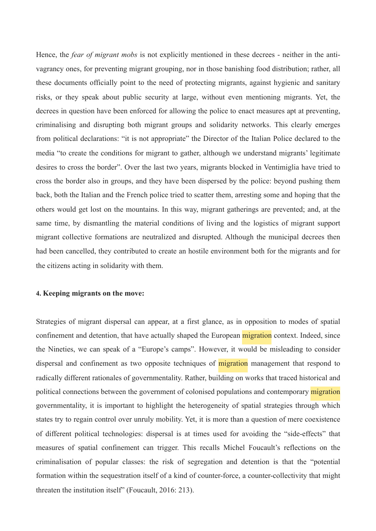Hence, the *fear of migrant mobs* is not explicitly mentioned in these decrees - neither in the antivagrancy ones, for preventing migrant grouping, nor in those banishing food distribution; rather, all these documents officially point to the need of protecting migrants, against hygienic and sanitary risks, or they speak about public security at large, without even mentioning migrants. Yet, the decrees in question have been enforced for allowing the police to enact measures apt at preventing, criminalising and disrupting both migrant groups and solidarity networks. This clearly emerges from political declarations: "it is not appropriate" the Director of the Italian Police declared to the media "to create the conditions for migrant to gather, although we understand migrants' legitimate desires to cross the border". Over the last two years, migrants blocked in Ventimiglia have tried to cross the border also in groups, and they have been dispersed by the police: beyond pushing them back, both the Italian and the French police tried to scatter them, arresting some and hoping that the others would get lost on the mountains. In this way, migrant gatherings are prevented; and, at the same time, by dismantling the material conditions of living and the logistics of migrant support migrant collective formations are neutralized and disrupted. Although the municipal decrees then had been cancelled, they contributed to create an hostile environment both for the migrants and for the citizens acting in solidarity with them.

## **4. Keeping migrants on the move:**

Strategies of migrant dispersal can appear, at a first glance, as in opposition to modes of spatial confinement and detention, that have actually shaped the European migration context. Indeed, since the Nineties, we can speak of a "Europe's camps". However, it would be misleading to consider dispersal and confinement as two opposite techniques of **migration** management that respond to radically different rationales of governmentality. Rather, building on works that traced historical and political connections between the government of colonised populations and contemporary migration governmentality, it is important to highlight the heterogeneity of spatial strategies through which states try to regain control over unruly mobility. Yet, it is more than a question of mere coexistence of different political technologies: dispersal is at times used for avoiding the "side-effects" that measures of spatial confinement can trigger. This recalls Michel Foucault's reflections on the criminalisation of popular classes: the risk of segregation and detention is that the "potential formation within the sequestration itself of a kind of counter-force, a counter-collectivity that might threaten the institution itself" (Foucault, 2016: 213).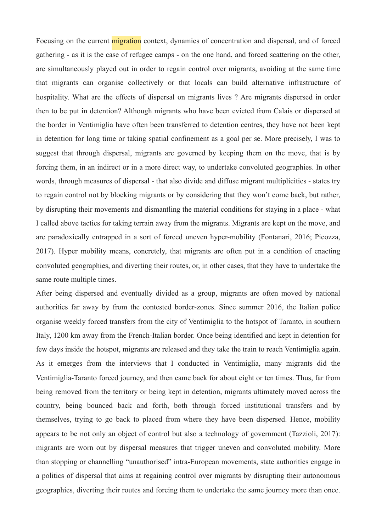Focusing on the current migration context, dynamics of concentration and dispersal, and of forced gathering - as it is the case of refugee camps - on the one hand, and forced scattering on the other, are simultaneously played out in order to regain control over migrants, avoiding at the same time that migrants can organise collectively or that locals can build alternative infrastructure of hospitality. What are the effects of dispersal on migrants lives ? Are migrants dispersed in order then to be put in detention? Although migrants who have been evicted from Calais or dispersed at the border in Ventimiglia have often been transferred to detention centres, they have not been kept in detention for long time or taking spatial confinement as a goal per se. More precisely, I was to suggest that through dispersal, migrants are governed by keeping them on the move, that is by forcing them, in an indirect or in a more direct way, to undertake convoluted geographies. In other words, through measures of dispersal - that also divide and diffuse migrant multiplicities - states try to regain control not by blocking migrants or by considering that they won't come back, but rather, by disrupting their movements and dismantling the material conditions for staying in a place - what I called above tactics for taking terrain away from the migrants. Migrants are kept on the move, and are paradoxically entrapped in a sort of forced uneven hyper-mobility (Fontanari, 2016; Picozza, 2017). Hyper mobility means, concretely, that migrants are often put in a condition of enacting convoluted geographies, and diverting their routes, or, in other cases, that they have to undertake the same route multiple times.

After being dispersed and eventually divided as a group, migrants are often moved by national authorities far away by from the contested border-zones. Since summer 2016, the Italian police organise weekly forced transfers from the city of Ventimiglia to the hotspot of Taranto, in southern Italy, 1200 km away from the French-Italian border. Once being identified and kept in detention for few days inside the hotspot, migrants are released and they take the train to reach Ventimiglia again. As it emerges from the interviews that I conducted in Ventimiglia, many migrants did the Ventimiglia-Taranto forced journey, and then came back for about eight or ten times. Thus, far from being removed from the territory or being kept in detention, migrants ultimately moved across the country, being bounced back and forth, both through forced institutional transfers and by themselves, trying to go back to placed from where they have been dispersed. Hence, mobility appears to be not only an object of control but also a technology of government (Tazzioli, 2017): migrants are worn out by dispersal measures that trigger uneven and convoluted mobility. More than stopping or channelling "unauthorised" intra-European movements, state authorities engage in a politics of dispersal that aims at regaining control over migrants by disrupting their autonomous geographies, diverting their routes and forcing them to undertake the same journey more than once.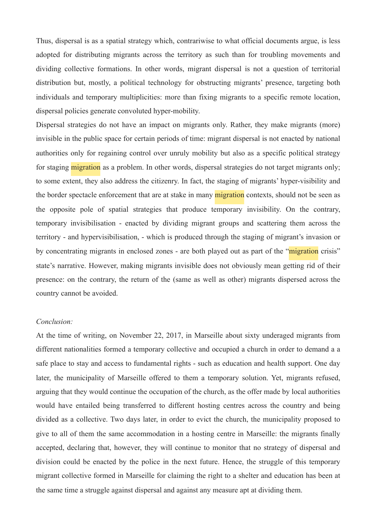Thus, dispersal is as a spatial strategy which, contrariwise to what official documents argue, is less adopted for distributing migrants across the territory as such than for troubling movements and dividing collective formations. In other words, migrant dispersal is not a question of territorial distribution but, mostly, a political technology for obstructing migrants' presence, targeting both individuals and temporary multiplicities: more than fixing migrants to a specific remote location, dispersal policies generate convoluted hyper-mobility.

Dispersal strategies do not have an impact on migrants only. Rather, they make migrants (more) invisible in the public space for certain periods of time: migrant dispersal is not enacted by national authorities only for regaining control over unruly mobility but also as a specific political strategy for staging **migration** as a problem. In other words, dispersal strategies do not target migrants only; to some extent, they also address the citizenry. In fact, the staging of migrants' hyper-visibility and the border spectacle enforcement that are at stake in many migration contexts, should not be seen as the opposite pole of spatial strategies that produce temporary invisibility. On the contrary, temporary invisibilisation - enacted by dividing migrant groups and scattering them across the territory - and hypervisibilisation, - which is produced through the staging of migrant's invasion or by concentrating migrants in enclosed zones - are both played out as part of the "migration crisis" state's narrative. However, making migrants invisible does not obviously mean getting rid of their presence: on the contrary, the return of the (same as well as other) migrants dispersed across the country cannot be avoided.

## *Conclusion:*

At the time of writing, on November 22, 2017, in Marseille about sixty underaged migrants from different nationalities formed a temporary collective and occupied a church in order to demand a a safe place to stay and access to fundamental rights - such as education and health support. One day later, the municipality of Marseille offered to them a temporary solution. Yet, migrants refused, arguing that they would continue the occupation of the church, as the offer made by local authorities would have entailed being transferred to different hosting centres across the country and being divided as a collective. Two days later, in order to evict the church, the municipality proposed to give to all of them the same accommodation in a hosting centre in Marseille: the migrants finally accepted, declaring that, however, they will continue to monitor that no strategy of dispersal and division could be enacted by the police in the next future. Hence, the struggle of this temporary migrant collective formed in Marseille for claiming the right to a shelter and education has been at the same time a struggle against dispersal and against any measure apt at dividing them.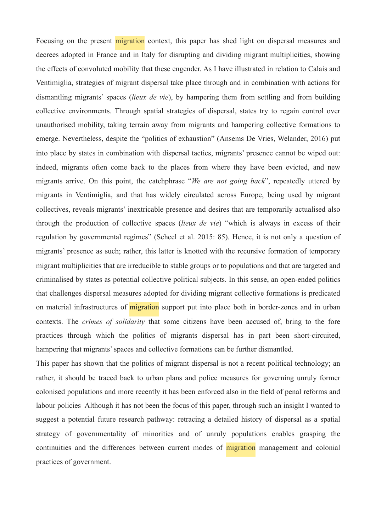Focusing on the present migration context, this paper has shed light on dispersal measures and decrees adopted in France and in Italy for disrupting and dividing migrant multiplicities, showing the effects of convoluted mobility that these engender. As I have illustrated in relation to Calais and Ventimiglia, strategies of migrant dispersal take place through and in combination with actions for dismantling migrants' spaces (*lieux de vie*), by hampering them from settling and from building collective environments. Through spatial strategies of dispersal, states try to regain control over unauthorised mobility, taking terrain away from migrants and hampering collective formations to emerge. Nevertheless, despite the "politics of exhaustion" (Ansems De Vries, Welander, 2016) put into place by states in combination with dispersal tactics, migrants' presence cannot be wiped out: indeed, migrants often come back to the places from where they have been evicted, and new migrants arrive. On this point, the catchphrase "*We are not going back*", repeatedly uttered by migrants in Ventimiglia, and that has widely circulated across Europe, being used by migrant collectives, reveals migrants' inextricable presence and desires that are temporarily actualised also through the production of collective spaces (*lieux de vie*) "which is always in excess of their regulation by governmental regimes" (Scheel et al. 2015: 85). Hence, it is not only a question of migrants' presence as such; rather, this latter is knotted with the recursive formation of temporary migrant multiplicities that are irreducible to stable groups or to populations and that are targeted and criminalised by states as potential collective political subjects. In this sense, an open-ended politics that challenges dispersal measures adopted for dividing migrant collective formations is predicated on material infrastructures of **migration** support put into place both in border-zones and in urban contexts. The *crimes of solidarity* that some citizens have been accused of, bring to the fore practices through which the politics of migrants dispersal has in part been short-circuited, hampering that migrants' spaces and collective formations can be further dismantled.

This paper has shown that the politics of migrant dispersal is not a recent political technology; an rather, it should be traced back to urban plans and police measures for governing unruly former colonised populations and more recently it has been enforced also in the field of penal reforms and labour policies Although it has not been the focus of this paper, through such an insight I wanted to suggest a potential future research pathway: retracing a detailed history of dispersal as a spatial strategy of governmentality of minorities and of unruly populations enables grasping the continuities and the differences between current modes of migration management and colonial practices of government.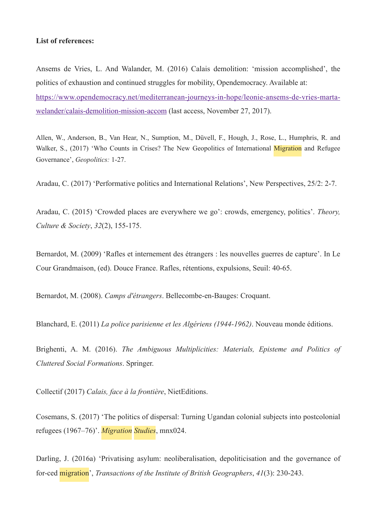#### **List of references:**

Ansems de Vries, L. And Walander, M. (2016) Calais demolition: 'mission accomplished', the politics of exhaustion and continued struggles for mobility, Opendemocracy. Available at: [https://www.opendemocracy.net/mediterranean-journeys-in-hope/leonie-ansems-de-vries-marta](https://www.opendemocracy.net/mediterranean-journeys-in-hope/leonie-ansems-de-vries-marta-welander/calais-demolition-mission-accom)[welander/calais-demolition-mission-accom](https://www.opendemocracy.net/mediterranean-journeys-in-hope/leonie-ansems-de-vries-marta-welander/calais-demolition-mission-accom) (last access, November 27, 2017).

Allen, W., Anderson, B., Van Hear, N., Sumption, M., Düvell, F., Hough, J., Rose, L., Humphris, R. and Walker, S., (2017) 'Who Counts in Crises? The New Geopolitics of International Migration and Refugee Governance', *Geopolitics:* 1-27.

Aradau, C. (2017) 'Performative politics and International Relations', New Perspectives, 25/2: 2-7.

Aradau, C. (2015) 'Crowded places are everywhere we go': crowds, emergency, politics'. *Theory, Culture & Society*, *32*(2), 155-175.

Bernardot, M. (2009) 'Rafles et internement des étrangers : les nouvelles guerres de capture'. In Le Cour Grandmaison, (ed). Douce France. Rafles, rétentions, expulsions, Seuil: 40-65.

Bernardot, M. (2008). *Camps d'étrangers*. Bellecombe-en-Bauges: Croquant.

Blanchard, E. (2011) *La police parisienne et les Algériens (1944-1962)*. Nouveau monde éditions.

Brighenti, A. M. (2016). *The Ambiguous Multiplicities: Materials, Episteme and Politics of Cluttered Social Formations*. Springer.

Collectif (2017) *Calais, face à la frontière*, NietEditions.

Cosemans, S. (2017) 'The politics of dispersal: Turning Ugandan colonial subjects into postcolonial refugees (1967–76)'. *Migration Studies*, mnx024.

Darling, J. (2016a) 'Privatising asylum: neoliberalisation, depoliticisation and the governance of for-ced migration', *Transactions of the Institute of British Geographers*, *41*(3): 230-243.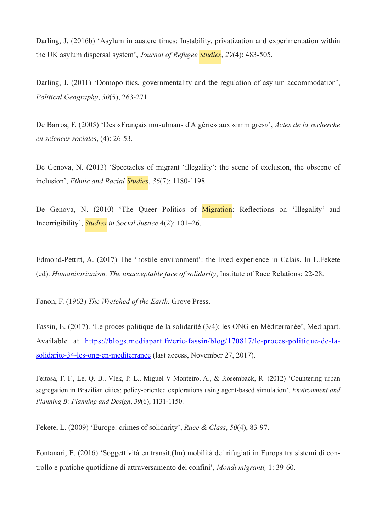Darling, J. (2016b) 'Asylum in austere times: Instability, privatization and experimentation within the UK asylum dispersal system', *Journal of Refugee Studies*, *29*(4): 483-505.

Darling, J. (2011) 'Domopolitics, governmentality and the regulation of asylum accommodation', *Political Geography*, *30*(5), 263-271.

De Barros, F. (2005) 'Des «Français musulmans d'Algérie» aux «immigrés»', *Actes de la recherche en sciences sociales*, (4): 26-53.

De Genova, N. (2013) 'Spectacles of migrant 'illegality': the scene of exclusion, the obscene of inclusion', *Ethnic and Racial Studies*, *36*(7): 1180-1198.

De Genova, N. (2010) 'The Queer Politics of Migration: Reflections on 'Illegality' and Incorrigibility', *Studies in Social Justice* 4(2): 101–26.

Edmond-Pettitt, A. (2017) The 'hostile environment': the lived experience in Calais. In L.Fekete (ed). *Humanitarianism. The unacceptable face of solidarity*, Institute of Race Relations: 22-28.

Fanon, F. (1963) *The Wretched of the Earth,* Grove Press.

Fassin, E. (2017). 'Le procès politique de la solidarité (3/4): les ONG en Méditerranée', Mediapart. Available at [https://blogs.mediapart.fr/eric-fassin/blog/170817/le-proces-politique-de-la](https://blogs.mediapart.fr/eric-fassin/blog/170817/le-proces-politique-de-la-solidarite-34-les-ong-en-mediterranee)[solidarite-34-les-ong-en-mediterranee \(last access, November 27, 2017\).](https://blogs.mediapart.fr/eric-fassin/blog/170817/le-proces-politique-de-la-solidarite-34-les-ong-en-mediterranee)

Feitosa, F. F., Le, Q. B., Vlek, P. L., Miguel V Monteiro, A., & Rosemback, R. (2012) 'Countering urban segregation in Brazilian cities: policy-oriented explorations using agent-based simulation'. *Environment and Planning B: Planning and Design*, *39*(6), 1131-1150.

Fekete, L. (2009) 'Europe: crimes of solidarity', *Race & Class*, *50*(4), 83-97.

Fontanari, E. (2016) 'Soggettività en transit.(Im) mobilità dei rifugiati in Europa tra sistemi di controllo e pratiche quotidiane di attraversamento dei confini', *Mondi migranti,* 1: 39-60.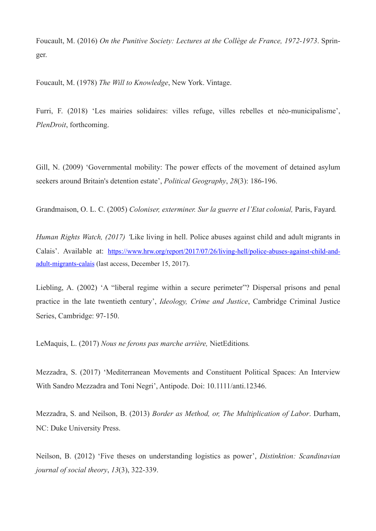Foucault, M. (2016) *On the Punitive Society: Lectures at the Collège de France, 1972-1973*. Springer.

Foucault, M. (1978) *The Will to Knowledge*, New York. Vintage.

Furri, F. (2018) 'Les mairies solidaires: villes refuge, villes rebelles et néo-municipalisme', *PlenDroit*, forthcoming.

Gill, N. (2009) 'Governmental mobility: The power effects of the movement of detained asylum seekers around Britain's detention estate', *Political Geography*, *28*(3): 186-196.

Grandmaison, O. L. C. (2005) *Coloniser, exterminer. Sur la guerre et l'Etat colonial,* Paris, Fayard*.*

*Human Rights Watch, (2017) '*Like living in hell. Police abuses against child and adult migrants in Calais'. Available at: [https://www.hrw.org/report/2017/07/26/living-hell/police-abuses-against-child-and](https://www.hrw.org/report/2017/07/26/living-hell/police-abuses-against-child-and-adult-migrants-calais)[adult-migrants-calais](https://www.hrw.org/report/2017/07/26/living-hell/police-abuses-against-child-and-adult-migrants-calais) (last access, December 15, 2017).

Liebling, A. (2002) 'A "liberal regime within a secure perimeter"? Dispersal prisons and penal practice in the late twentieth century', *Ideology, Crime and Justice*, Cambridge Criminal Justice Series, Cambridge: 97-150.

LeMaquis, L. (2017) *Nous ne ferons pas marche arrière,* NietEditions*.*

Mezzadra, S. (2017) 'Mediterranean Movements and Constituent Political Spaces: An Interview With Sandro Mezzadra and Toni Negri', Antipode. Doi: 10.1111/anti.12346.

Mezzadra, S. and Neilson, B. (2013) *Border as Method, or, The Multiplication of Labor*. Durham, NC: Duke University Press.

Neilson, B. (2012) 'Five theses on understanding logistics as power', *Distinktion: Scandinavian journal of social theory*, *13*(3), 322-339.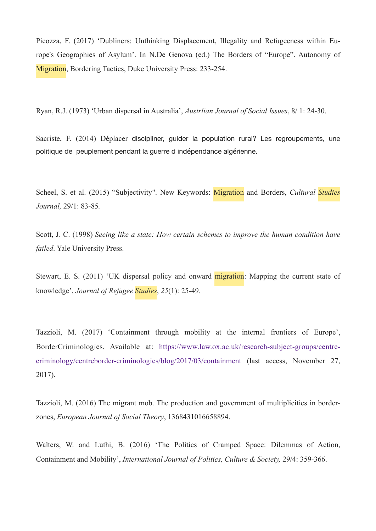Picozza, F. (2017) 'Dubliners: Unthinking Displacement, Illegality and Refugeeness within Europe's Geographies of Asylum'. In N.De Genova (ed.) The Borders of "Europe". Autonomy of Migration, Bordering Tactics, Duke University Press: 233-254.

Ryan, R.J. (1973) 'Urban dispersal in Australia', *Austrlian Journal of Social Issues*, 8/ 1: 24-30.

Sacriste, F. (2014) Déplacer discipliner, guider la population rural? Les regroupements, une politique de peuplement pendant la guerre d indépendance algérienne.

Scheel, S. et al. (2015) "Subjectivity". New Keywords: Migration and Borders, *Cultural Studies Journal,* 29/1: 83-85*.* 

Scott, J. C. (1998) *Seeing like a state: How certain schemes to improve the human condition have failed*. Yale University Press.

Stewart, E. S. (2011) 'UK dispersal policy and onward migration: Mapping the current state of knowledge', *Journal of Refugee Studies*, *25*(1): 25-49.

Tazzioli, M. (2017) 'Containment through mobility at the internal frontiers of Europe', BorderCriminologies. Available at: [https://www.law.ox.ac.uk/research-subject-groups/centre](https://www.law.ox.ac.uk/research-subject-groups/centre-criminology/centreborder-criminologies/blog/2017/03/containment)[criminology/centreborder-criminologies/blog/2017/03/containment \(last access, November 27,](https://www.law.ox.ac.uk/research-subject-groups/centre-criminology/centreborder-criminologies/blog/2017/03/containment)  2017).

Tazzioli, M. (2016) The migrant mob. The production and government of multiplicities in borderzones, *European Journal of Social Theory*, 1368431016658894.

Walters, W. and Luthi, B. (2016) 'The Politics of Cramped Space: Dilemmas of Action, Containment and Mobility', *International Journal of Politics, Culture & Society,* 29/4: 359-366.